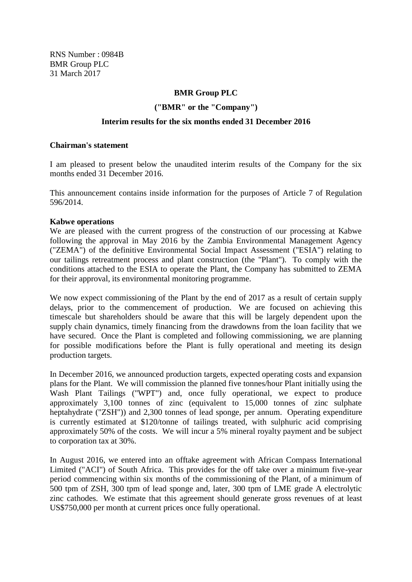RNS Number : 0984B BMR Group PLC 31 March 2017

## **BMR Group PLC**

**("BMR" or the "Company")**

#### **Interim results for the six months ended 31 December 2016**

#### **Chairman's statement**

I am pleased to present below the unaudited interim results of the Company for the six months ended 31 December 2016.

This announcement contains inside information for the purposes of Article 7 of Regulation 596/2014.

#### **Kabwe operations**

We are pleased with the current progress of the construction of our processing at Kabwe following the approval in May 2016 by the Zambia Environmental Management Agency ("ZEMA") of the definitive Environmental Social Impact Assessment ("ESIA") relating to our tailings retreatment process and plant construction (the "Plant"). To comply with the conditions attached to the ESIA to operate the Plant, the Company has submitted to ZEMA for their approval, its environmental monitoring programme.

We now expect commissioning of the Plant by the end of 2017 as a result of certain supply delays, prior to the commencement of production. We are focused on achieving this timescale but shareholders should be aware that this will be largely dependent upon the supply chain dynamics, timely financing from the drawdowns from the loan facility that we have secured. Once the Plant is completed and following commissioning, we are planning for possible modifications before the Plant is fully operational and meeting its design production targets.

In December 2016, we announced production targets, expected operating costs and expansion plans for the Plant. We will commission the planned five tonnes/hour Plant initially using the Wash Plant Tailings ("WPT") and, once fully operational, we expect to produce approximately 3,100 tonnes of zinc (equivalent to 15,000 tonnes of zinc sulphate heptahydrate ("ZSH")) and 2,300 tonnes of lead sponge, per annum. Operating expenditure is currently estimated at \$120/tonne of tailings treated, with sulphuric acid comprising approximately 50% of the costs. We will incur a 5% mineral royalty payment and be subject to corporation tax at 30%.

In August 2016, we entered into an offtake agreement with African Compass International Limited ("ACI") of South Africa. This provides for the off take over a minimum five-year period commencing within six months of the commissioning of the Plant, of a minimum of 500 tpm of ZSH, 300 tpm of lead sponge and, later, 300 tpm of LME grade A electrolytic zinc cathodes. We estimate that this agreement should generate gross revenues of at least US\$750,000 per month at current prices once fully operational.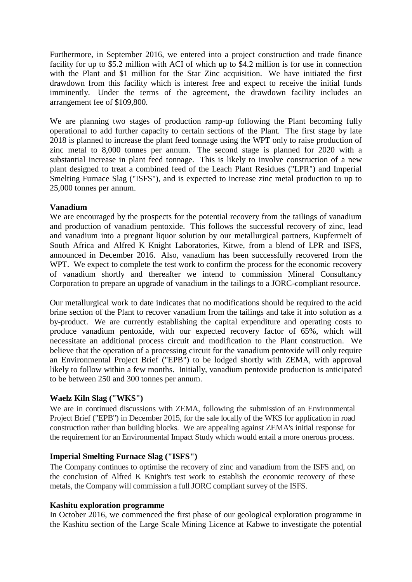Furthermore, in September 2016, we entered into a project construction and trade finance facility for up to \$5.2 million with ACI of which up to \$4.2 million is for use in connection with the Plant and \$1 million for the Star Zinc acquisition. We have initiated the first drawdown from this facility which is interest free and expect to receive the initial funds imminently. Under the terms of the agreement, the drawdown facility includes an arrangement fee of \$109,800.

We are planning two stages of production ramp-up following the Plant becoming fully operational to add further capacity to certain sections of the Plant. The first stage by late 2018 is planned to increase the plant feed tonnage using the WPT only to raise production of zinc metal to 8,000 tonnes per annum. The second stage is planned for 2020 with a substantial increase in plant feed tonnage. This is likely to involve construction of a new plant designed to treat a combined feed of the Leach Plant Residues ("LPR") and Imperial Smelting Furnace Slag ("ISFS"), and is expected to increase zinc metal production to up to 25,000 tonnes per annum.

### **Vanadium**

We are encouraged by the prospects for the potential recovery from the tailings of vanadium and production of vanadium pentoxide. This follows the successful recovery of zinc, lead and vanadium into a pregnant liquor solution by our metallurgical partners, Kupfermelt of South Africa and Alfred K Knight Laboratories, Kitwe, from a blend of LPR and ISFS, announced in December 2016. Also, vanadium has been successfully recovered from the WPT. We expect to complete the test work to confirm the process for the economic recovery of vanadium shortly and thereafter we intend to commission Mineral Consultancy Corporation to prepare an upgrade of vanadium in the tailings to a JORC-compliant resource.

Our metallurgical work to date indicates that no modifications should be required to the acid brine section of the Plant to recover vanadium from the tailings and take it into solution as a by-product. We are currently establishing the capital expenditure and operating costs to produce vanadium pentoxide, with our expected recovery factor of 65%, which will necessitate an additional process circuit and modification to the Plant construction. We believe that the operation of a processing circuit for the vanadium pentoxide will only require an Environmental Project Brief ("EPB") to be lodged shortly with ZEMA, with approval likely to follow within a few months. Initially, vanadium pentoxide production is anticipated to be between 250 and 300 tonnes per annum.

# **Waelz Kiln Slag ("WKS")**

We are in continued discussions with ZEMA, following the submission of an Environmental Project Brief ("EPB") in December 2015, for the sale locally of the WKS for application in road construction rather than building blocks. We are appealing against ZEMA's initial response for the requirement for an Environmental Impact Study which would entail a more onerous process.

# **Imperial Smelting Furnace Slag ("ISFS")**

The Company continues to optimise the recovery of zinc and vanadium from the ISFS and, on the conclusion of Alfred K Knight's test work to establish the economic recovery of these metals, the Company will commission a full JORC compliant survey of the ISFS.

### **Kashitu exploration programme**

In October 2016, we commenced the first phase of our geological exploration programme in the Kashitu section of the Large Scale Mining Licence at Kabwe to investigate the potential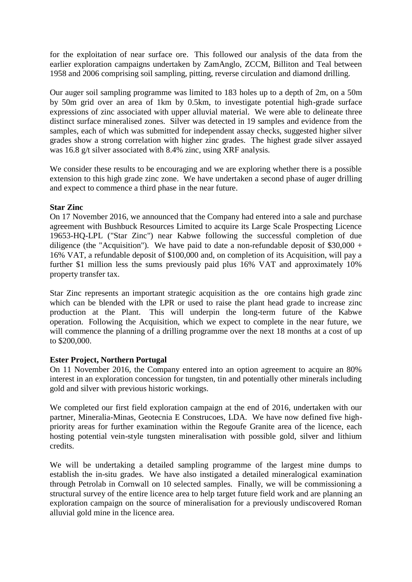for the exploitation of near surface ore. This followed our analysis of the data from the earlier exploration campaigns undertaken by ZamAnglo, ZCCM, Billiton and Teal between 1958 and 2006 comprising soil sampling, pitting, reverse circulation and diamond drilling.

Our auger soil sampling programme was limited to 183 holes up to a depth of 2m, on a 50m by 50m grid over an area of 1km by 0.5km, to investigate potential high-grade surface expressions of zinc associated with upper alluvial material. We were able to delineate three distinct surface mineralised zones. Silver was detected in 19 samples and evidence from the samples, each of which was submitted for independent assay checks, suggested higher silver grades show a strong correlation with higher zinc grades. The highest grade silver assayed was 16.8 g/t silver associated with 8.4% zinc, using XRF analysis.

We consider these results to be encouraging and we are exploring whether there is a possible extension to this high grade zinc zone. We have undertaken a second phase of auger drilling and expect to commence a third phase in the near future.

### **Star Zinc**

On 17 November 2016, we announced that the Company had entered into a sale and purchase agreement with Bushbuck Resources Limited to acquire its Large Scale Prospecting Licence 19653-HQ-LPL ("Star Zinc") near Kabwe following the successful completion of due diligence (the "Acquisition"). We have paid to date a non-refundable deposit of  $$30,000 +$ 16% VAT, a refundable deposit of \$100,000 and, on completion of its Acquisition, will pay a further \$1 million less the sums previously paid plus 16% VAT and approximately 10% property transfer tax.

Star Zinc represents an important strategic acquisition as the ore contains high grade zinc which can be blended with the LPR or used to raise the plant head grade to increase zinc production at the Plant. This will underpin the long-term future of the Kabwe operation. Following the Acquisition, which we expect to complete in the near future, we will commence the planning of a drilling programme over the next 18 months at a cost of up to \$200,000.

### **Ester Project, Northern Portugal**

On 11 November 2016, the Company entered into an option agreement to acquire an 80% interest in an exploration concession for tungsten, tin and potentially other minerals including gold and silver with previous historic workings.

We completed our first field exploration campaign at the end of 2016, undertaken with our partner, Mineralia-Minas, Geotecnia E Construcoes, LDA. We have now defined five highpriority areas for further examination within the Regoufe Granite area of the licence, each hosting potential vein-style tungsten mineralisation with possible gold, silver and lithium credits.

We will be undertaking a detailed sampling programme of the largest mine dumps to establish the in-situ grades. We have also instigated a detailed mineralogical examination through Petrolab in Cornwall on 10 selected samples. Finally, we will be commissioning a structural survey of the entire licence area to help target future field work and are planning an exploration campaign on the source of mineralisation for a previously undiscovered Roman alluvial gold mine in the licence area.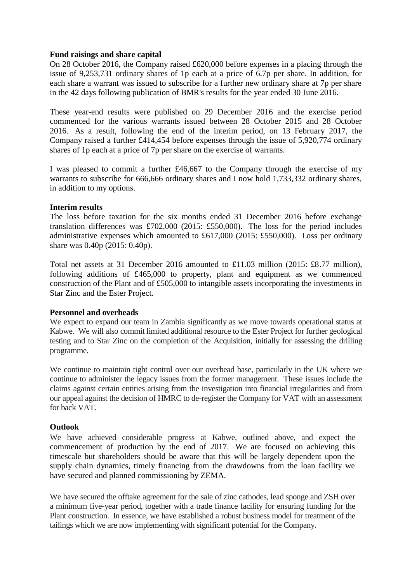### **Fund raisings and share capital**

On 28 October 2016, the Company raised £620,000 before expenses in a placing through the issue of 9,253,731 ordinary shares of 1p each at a price of 6.7p per share. In addition, for each share a warrant was issued to subscribe for a further new ordinary share at 7p per share in the 42 days following publication of BMR's results for the year ended 30 June 2016.

These year-end results were published on 29 December 2016 and the exercise period commenced for the various warrants issued between 28 October 2015 and 28 October 2016. As a result, following the end of the interim period, on 13 February 2017, the Company raised a further £414,454 before expenses through the issue of 5,920,774 ordinary shares of 1p each at a price of 7p per share on the exercise of warrants.

I was pleased to commit a further £46,667 to the Company through the exercise of my warrants to subscribe for 666,666 ordinary shares and I now hold 1,733,332 ordinary shares, in addition to my options.

### **Interim results**

The loss before taxation for the six months ended 31 December 2016 before exchange translation differences was £702,000 (2015: £550,000). The loss for the period includes administrative expenses which amounted to £617,000 (2015: £550,000). Loss per ordinary share was 0.40p (2015: 0.40p).

Total net assets at 31 December 2016 amounted to £11.03 million (2015: £8.77 million), following additions of £465,000 to property, plant and equipment as we commenced construction of the Plant and of £505,000 to intangible assets incorporating the investments in Star Zinc and the Ester Project.

# **Personnel and overheads**

We expect to expand our team in Zambia significantly as we move towards operational status at Kabwe. We will also commit limited additional resource to the Ester Project for further geological testing and to Star Zinc on the completion of the Acquisition, initially for assessing the drilling programme.

We continue to maintain tight control over our overhead base, particularly in the UK where we continue to administer the legacy issues from the former management. These issues include the claims against certain entities arising from the investigation into financial irregularities and from our appeal against the decision of HMRC to de-register the Company for VAT with an assessment for back VAT.

# **Outlook**

We have achieved considerable progress at Kabwe, outlined above, and expect the commencement of production by the end of 2017. We are focused on achieving this timescale but shareholders should be aware that this will be largely dependent upon the supply chain dynamics, timely financing from the drawdowns from the loan facility we have secured and planned commissioning by ZEMA.

We have secured the offtake agreement for the sale of zinc cathodes, lead sponge and ZSH over a minimum five-year period, together with a trade finance facility for ensuring funding for the Plant construction. In essence, we have established a robust business model for treatment of the tailings which we are now implementing with significant potential for the Company.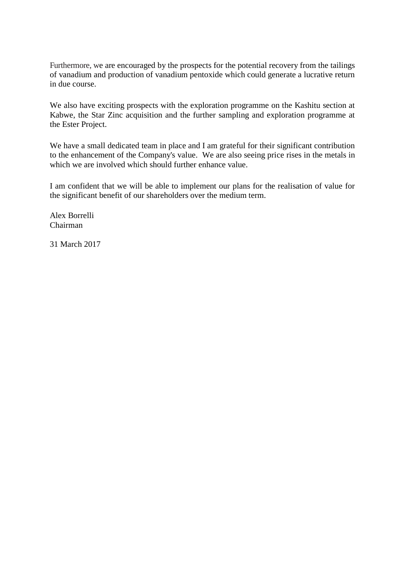Furthermore, we are encouraged by the prospects for the potential recovery from the tailings of vanadium and production of vanadium pentoxide which could generate a lucrative return in due course.

We also have exciting prospects with the exploration programme on the Kashitu section at Kabwe, the Star Zinc acquisition and the further sampling and exploration programme at the Ester Project.

We have a small dedicated team in place and I am grateful for their significant contribution to the enhancement of the Company's value. We are also seeing price rises in the metals in which we are involved which should further enhance value.

I am confident that we will be able to implement our plans for the realisation of value for the significant benefit of our shareholders over the medium term.

Alex Borrelli Chairman

31 March 2017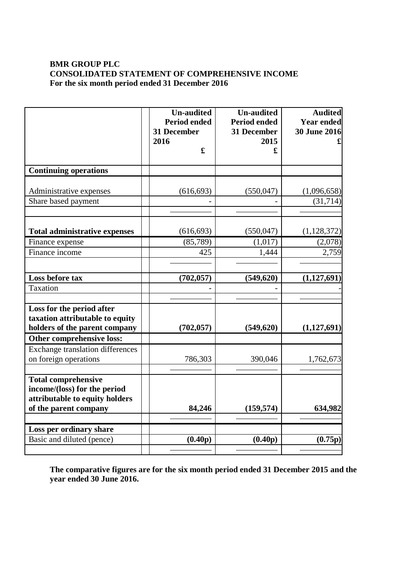## **BMR GROUP PLC CONSOLIDATED STATEMENT OF COMPREHENSIVE INCOME For the six month period ended 31 December 2016**

|                                                              | <b>Un-audited</b><br><b>Period ended</b><br>31 December<br>2016 | <b>Un-audited</b><br><b>Period ended</b><br>31 December<br>2015 | <b>Audited</b><br><b>Year ended</b><br><b>30 June 2016</b> |
|--------------------------------------------------------------|-----------------------------------------------------------------|-----------------------------------------------------------------|------------------------------------------------------------|
|                                                              | £                                                               | £                                                               |                                                            |
| <b>Continuing operations</b>                                 |                                                                 |                                                                 |                                                            |
| Administrative expenses                                      | (616, 693)                                                      | (550, 047)                                                      | (1,096,658)                                                |
| Share based payment                                          |                                                                 |                                                                 | (31, 714)                                                  |
|                                                              |                                                                 |                                                                 |                                                            |
| <b>Total administrative expenses</b>                         | (616, 693)                                                      | (550, 047)                                                      | (1, 128, 372)                                              |
| Finance expense                                              | (85,789)                                                        | (1,017)                                                         | (2,078)                                                    |
| Finance income                                               | 425                                                             | 1,444                                                           | 2,759                                                      |
|                                                              |                                                                 |                                                                 |                                                            |
| Loss before tax                                              | (702, 057)                                                      | (549, 620)                                                      | (1, 127, 691)                                              |
| Taxation                                                     |                                                                 |                                                                 |                                                            |
|                                                              |                                                                 |                                                                 |                                                            |
| Loss for the period after<br>taxation attributable to equity |                                                                 |                                                                 |                                                            |
| holders of the parent company                                | (702, 057)                                                      | (549, 620)                                                      | (1, 127, 691)                                              |
| Other comprehensive loss:                                    |                                                                 |                                                                 |                                                            |
| <b>Exchange translation differences</b>                      |                                                                 |                                                                 |                                                            |
| on foreign operations                                        | 786,303                                                         | 390,046                                                         | 1,762,673                                                  |
|                                                              |                                                                 |                                                                 |                                                            |
| <b>Total comprehensive</b>                                   |                                                                 |                                                                 |                                                            |
| income/(loss) for the period                                 |                                                                 |                                                                 |                                                            |
| attributable to equity holders                               |                                                                 |                                                                 |                                                            |
| of the parent company                                        | 84,246                                                          | (159, 574)                                                      | 634,982                                                    |
|                                                              |                                                                 |                                                                 |                                                            |
| Loss per ordinary share                                      |                                                                 |                                                                 |                                                            |
| Basic and diluted (pence)                                    | (0.40p)                                                         | (0.40p)                                                         | (0.75p)                                                    |
|                                                              |                                                                 |                                                                 |                                                            |

**The comparative figures are for the six month period ended 31 December 2015 and the year ended 30 June 2016.**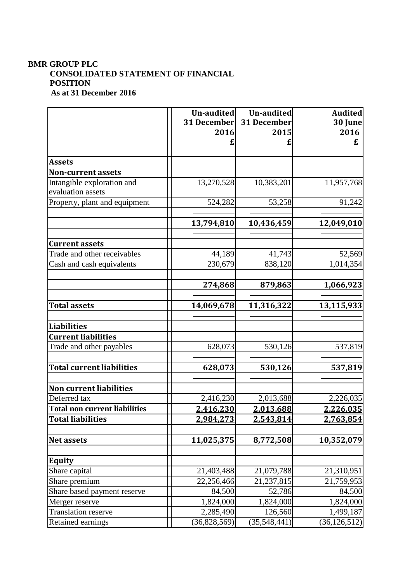# **BMR GROUP PLC CONSOLIDATED STATEMENT OF FINANCIAL POSITION As at 31 December 2016**

|                                                  | Un-audited   | Un-audited   | <b>Audited</b> |
|--------------------------------------------------|--------------|--------------|----------------|
|                                                  | 31 December  | 31 December  | 30 June        |
|                                                  | 2016         | 2015         | 2016           |
|                                                  |              |              | £              |
| <b>Assets</b>                                    |              |              |                |
| <b>Non-current assets</b>                        |              |              |                |
| Intangible exploration and                       | 13,270,528   | 10,383,201   | 11,957,768     |
| evaluation assets                                |              |              |                |
| Property, plant and equipment                    | 524,282      | 53,258       | 91,242         |
|                                                  |              |              |                |
|                                                  | 13,794,810   | 10,436,459   | 12,049,010     |
|                                                  |              |              |                |
| <b>Current assets</b>                            |              |              |                |
| Trade and other receivables                      | 44,189       | 41,743       | 52,569         |
| Cash and cash equivalents                        | 230,679      | 838,120      | 1,014,354      |
|                                                  |              |              |                |
|                                                  | 274,868      | 879,863      | 1,066,923      |
| <b>Total assets</b>                              | 14,069,678   | 11,316,322   | 13,115,933     |
|                                                  |              |              |                |
| <b>Liabilities</b><br><b>Current liabilities</b> |              |              |                |
|                                                  |              |              |                |
| Trade and other payables                         | 628,073      | 530,126      | 537,819        |
| <b>Total current liabilities</b>                 | 628,073      | 530,126      | 537,819        |
|                                                  |              |              |                |
| <b>Non current liabilities</b>                   |              |              |                |
| Deferred tax                                     | 2,416,230    | 2,013,688    | 2,226,035      |
| <b>Total non current liabilities</b>             | 2,416,230    | 2,013,688    | 2,226,035      |
| <b>Total liabilities</b>                         | 2,984,273    | 2,543,814    | 2,763,854      |
|                                                  |              |              |                |
| <b>Net assets</b>                                | 11,025,375   | 8,772,508    | 10,352,079     |
|                                                  |              |              |                |
| Equity                                           |              |              |                |
| Share capital                                    | 21,403,488   | 21,079,788   | 21,310,951     |
| Share premium                                    | 22,256,466   | 21,237,815   | 21,759,953     |
| Share based payment reserve                      | 84,500       | 52,786       | 84,500         |
| Merger reserve                                   | 1,824,000    | 1,824,000    | 1,824,000      |
| <b>Translation reserve</b>                       | 2,285,490    | 126,560      | 1,499,187      |
| Retained earnings                                | (36,828,569) | (35,548,441) | (36, 126, 512) |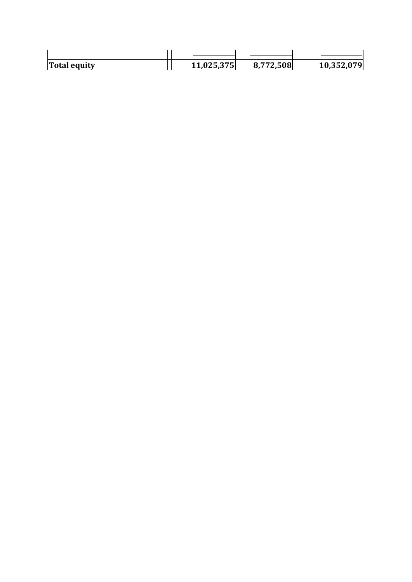| <b>Total equity</b> | 11,025,375 | 8,772,508 | 10,352,079 |
|---------------------|------------|-----------|------------|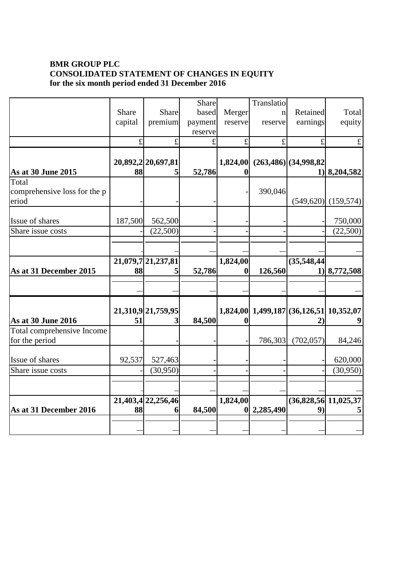# **BMR GROUP PLC CONSOLIDATED STATEMENT OF CHANGES IN EQUITY for the six month period ended 31 December 2016**

|                                                | Share<br>capital | Share<br>premium        | Share<br>based<br>payment<br>reserve | Merger<br>reserve | Translatio<br>$\mathbf{n}$<br>reserve | Retained<br>earnings                           | Total<br>equity                  |
|------------------------------------------------|------------------|-------------------------|--------------------------------------|-------------------|---------------------------------------|------------------------------------------------|----------------------------------|
|                                                | £                | £                       | £                                    | £                 | £                                     | £                                              | $\pounds$                        |
| As at 30 June 2015                             | 88               | 20,892,2 20,697,81<br>5 | 52,786                               | 1,824,00          |                                       | $(263, 486)$ (34,998,82)                       | $1)$   8,204,582                 |
| Total<br>comprehensive loss for the p<br>eriod |                  |                         |                                      |                   | 390,046                               |                                                | $(549, 620)$ $(159, 574)$        |
| Issue of shares                                | 187,500          | 562,500                 |                                      |                   |                                       |                                                | 750,000                          |
| Share issue costs                              |                  | (22,500)                |                                      |                   |                                       |                                                | (22,500)                         |
| As at 31 December 2015                         | 88               | 21,079,7 21,237,81<br>5 | 52,786                               | 1,824,00<br>0     | 126,560                               | (35,548,44)                                    | $1)$   8,772,508                 |
| <b>As at 30 June 2016</b>                      | 51               | 21,310,9 21,759,95<br>3 | 84,500                               | 1,824,00          |                                       | 1,499,187 (36,126,51 10,352,07<br>$\mathbf{2}$ | 9                                |
| Total comprehensive Income<br>for the period   |                  |                         |                                      |                   | 786,303                               | (702, 057)                                     | 84,246                           |
| Issue of shares                                | 92,537           | 527,463                 |                                      |                   |                                       |                                                | 620,000                          |
| Share issue costs                              |                  | (30, 950)               |                                      |                   |                                       |                                                | (30, 950)                        |
| As at 31 December 2016                         | 88               | 21,403,4 22,256,46<br>6 | 84,500                               | 1,824,00          | 2,285,490                             | 9)                                             | $(36,828,56 \mid 11,025,37$<br>5 |
|                                                |                  |                         |                                      |                   |                                       |                                                |                                  |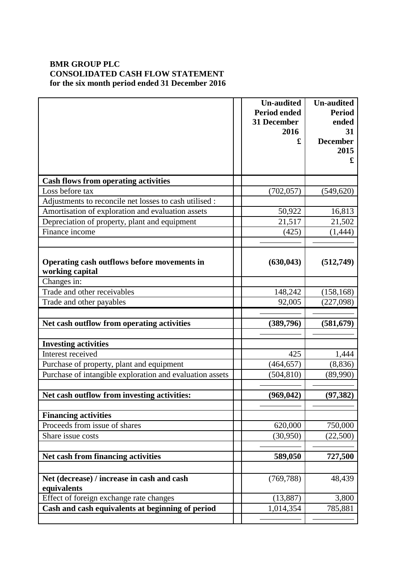# **BMR GROUP PLC CONSOLIDATED CASH FLOW STATEMENT for the six month period ended 31 December 2016**

|                                                           | <b>Un-audited</b><br><b>Period ended</b> | <b>Un-audited</b><br><b>Period</b> |
|-----------------------------------------------------------|------------------------------------------|------------------------------------|
|                                                           | 31 December                              | ended                              |
|                                                           | 2016<br>£                                | 31<br><b>December</b>              |
|                                                           |                                          | 2015                               |
|                                                           |                                          | £                                  |
|                                                           |                                          |                                    |
| <b>Cash flows from operating activities</b>               |                                          |                                    |
| Loss before tax                                           | (702, 057)                               | (549, 620)                         |
| Adjustments to reconcile net losses to cash utilised :    |                                          |                                    |
| Amortisation of exploration and evaluation assets         | 50,922                                   | 16,813                             |
| Depreciation of property, plant and equipment             | 21,517                                   | 21,502                             |
| Finance income                                            | (425)                                    | (1, 444)                           |
|                                                           |                                          |                                    |
| Operating cash outflows before movements in               | (630, 043)                               | (512,749)                          |
| working capital                                           |                                          |                                    |
| Changes in:                                               |                                          |                                    |
| Trade and other receivables                               | 148,242                                  | (158, 168)                         |
| Trade and other payables                                  | 92,005                                   | (227,098)                          |
|                                                           |                                          |                                    |
| Net cash outflow from operating activities                | (389,796)                                | (581, 679)                         |
| <b>Investing activities</b>                               |                                          |                                    |
| Interest received                                         | 425                                      | 1,444                              |
| Purchase of property, plant and equipment                 | (464, 657)                               | (8,836)                            |
| Purchase of intangible exploration and evaluation assets  | (504, 810)                               | (89,990)                           |
|                                                           |                                          |                                    |
| Net cash outflow from investing activities:               | (969, 042)                               | (97, 382)                          |
| <b>Financing activities</b>                               |                                          |                                    |
| Proceeds from issue of shares                             | 620,000                                  | 750,000                            |
| Share issue costs                                         | (30,950)                                 | (22,500)                           |
|                                                           |                                          |                                    |
| Net cash from financing activities                        | 589,050                                  | 727,500                            |
|                                                           |                                          |                                    |
| Net (decrease) / increase in cash and cash<br>equivalents | (769, 788)                               | 48,439                             |
| Effect of foreign exchange rate changes                   | (13,887)                                 | 3,800                              |
| Cash and cash equivalents at beginning of period          | 1,014,354                                | 785,881                            |
|                                                           |                                          |                                    |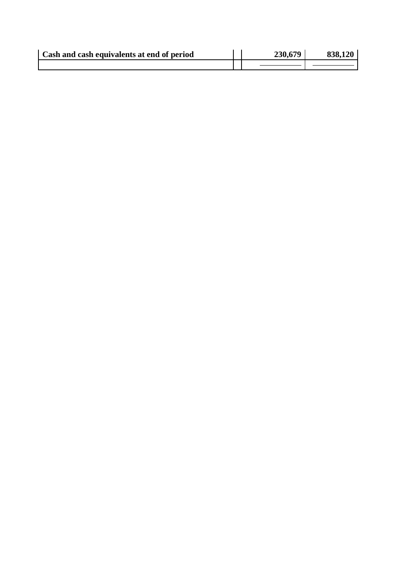| Cash and cash equivalents at end of period | 230,679 | 838.120 |
|--------------------------------------------|---------|---------|
|                                            |         |         |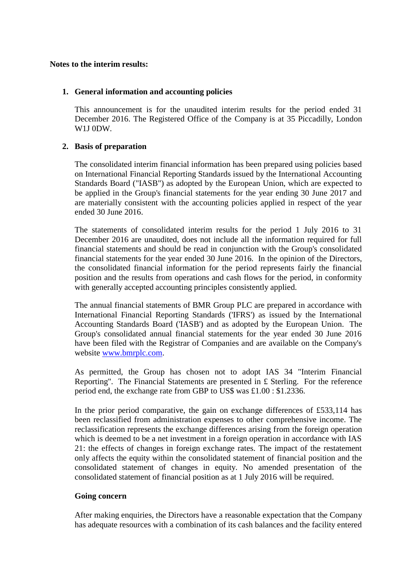#### **Notes to the interim results:**

### **1. General information and accounting policies**

This announcement is for the unaudited interim results for the period ended 31 December 2016. The Registered Office of the Company is at 35 Piccadilly, London W1J 0DW.

### **2. Basis of preparation**

The consolidated interim financial information has been prepared using policies based on International Financial Reporting Standards issued by the International Accounting Standards Board ("IASB") as adopted by the European Union, which are expected to be applied in the Group's financial statements for the year ending 30 June 2017 and are materially consistent with the accounting policies applied in respect of the year ended 30 June 2016.

The statements of consolidated interim results for the period 1 July 2016 to 31 December 2016 are unaudited, does not include all the information required for full financial statements and should be read in conjunction with the Group's consolidated financial statements for the year ended 30 June 2016. In the opinion of the Directors, the consolidated financial information for the period represents fairly the financial position and the results from operations and cash flows for the period, in conformity with generally accepted accounting principles consistently applied.

The annual financial statements of BMR Group PLC are prepared in accordance with International Financial Reporting Standards ('IFRS') as issued by the International Accounting Standards Board ('IASB') and as adopted by the European Union. The Group's consolidated annual financial statements for the year ended 30 June 2016 have been filed with the Registrar of Companies and are available on the Company's website [www.bmrplc.com.](http://www.bmrplc.com/)

As permitted, the Group has chosen not to adopt IAS 34 "Interim Financial Reporting". The Financial Statements are presented in £ Sterling. For the reference period end, the exchange rate from GBP to US\$ was £1.00 : \$1.2336.

In the prior period comparative, the gain on exchange differences of £533,114 has been reclassified from administration expenses to other comprehensive income. The reclassification represents the exchange differences arising from the foreign operation which is deemed to be a net investment in a foreign operation in accordance with IAS 21: the effects of changes in foreign exchange rates. The impact of the restatement only affects the equity within the consolidated statement of financial position and the consolidated statement of changes in equity. No amended presentation of the consolidated statement of financial position as at 1 July 2016 will be required.

### **Going concern**

After making enquiries, the Directors have a reasonable expectation that the Company has adequate resources with a combination of its cash balances and the facility entered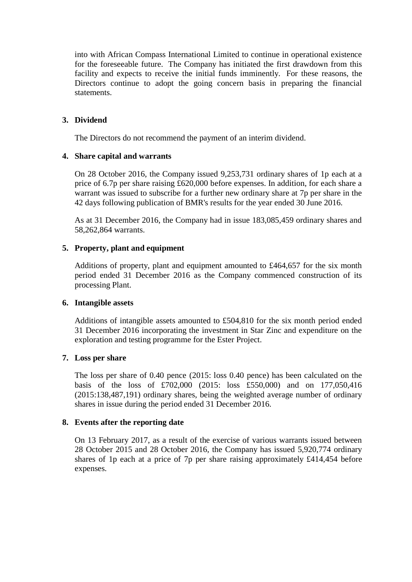into with African Compass International Limited to continue in operational existence for the foreseeable future. The Company has initiated the first drawdown from this facility and expects to receive the initial funds imminently. For these reasons, the Directors continue to adopt the going concern basis in preparing the financial statements.

## **3. Dividend**

The Directors do not recommend the payment of an interim dividend.

### **4. Share capital and warrants**

On 28 October 2016, the Company issued 9,253,731 ordinary shares of 1p each at a price of 6.7p per share raising £620,000 before expenses. In addition, for each share a warrant was issued to subscribe for a further new ordinary share at 7p per share in the 42 days following publication of BMR's results for the year ended 30 June 2016.

As at 31 December 2016, the Company had in issue 183,085,459 ordinary shares and 58,262,864 warrants.

### **5. Property, plant and equipment**

Additions of property, plant and equipment amounted to £464,657 for the six month period ended 31 December 2016 as the Company commenced construction of its processing Plant.

### **6. Intangible assets**

Additions of intangible assets amounted to £504,810 for the six month period ended 31 December 2016 incorporating the investment in Star Zinc and expenditure on the exploration and testing programme for the Ester Project.

### **7. Loss per share**

The loss per share of 0.40 pence (2015: loss 0.40 pence) has been calculated on the basis of the loss of £702,000 (2015: loss £550,000) and on 177,050,416 (2015:138,487,191) ordinary shares, being the weighted average number of ordinary shares in issue during the period ended 31 December 2016.

# **8. Events after the reporting date**

On 13 February 2017, as a result of the exercise of various warrants issued between 28 October 2015 and 28 October 2016, the Company has issued 5,920,774 ordinary shares of 1p each at a price of 7p per share raising approximately £414,454 before expenses.